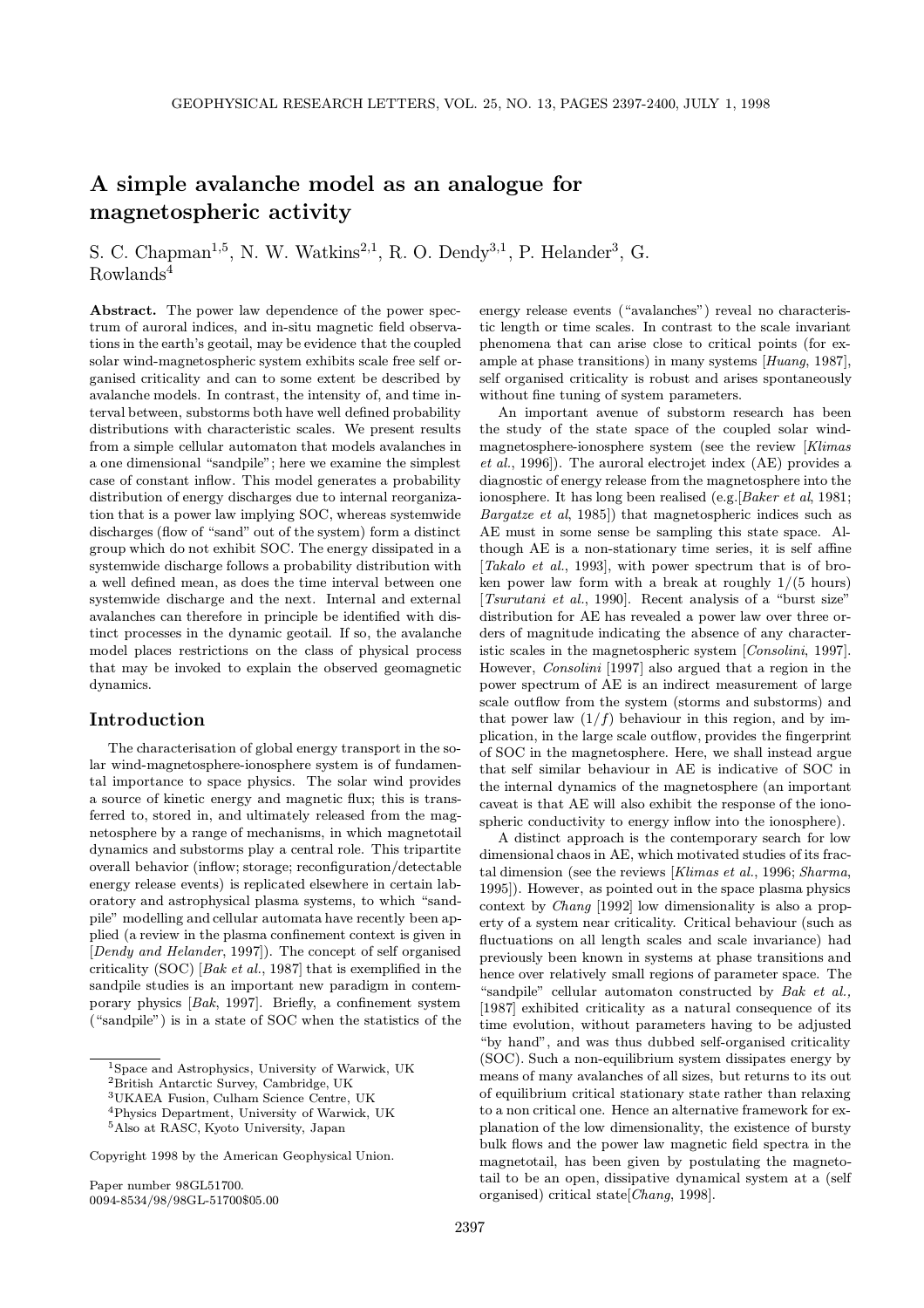# A simple avalanche model as an analogue for magnetospheric activity

S. C. Chapman<sup>1,5</sup>, N. W. Watkins<sup>2,1</sup>, R. O. Dendy<sup>3,1</sup>, P. Helander<sup>3</sup>, G. Rowlands<sup>4</sup>

Abstract. The power law dependence of the power spectrum of auroral indices, and in-situ magnetic field observations in the earth's geotail, may be evidence that the coupled solar wind-magnetospheric system exhibits scale free self organised criticality and can to some extent be described by avalanche models. In contrast, the intensity of, and time interval between, substorms both have well defined probability distributions with characteristic scales. We present results from a simple cellular automaton that models avalanches in a one dimensional "sandpile"; here we examine the simplest case of constant inflow. This model generates a probability distribution of energy discharges due to internal reorganization that is a power law implying SOC, whereas systemwide discharges (flow of "sand" out of the system) form a distinct group which do not exhibit SOC. The energy dissipated in a systemwide discharge follows a probability distribution with a well defined mean, as does the time interval between one systemwide discharge and the next. Internal and external avalanches can therefore in principle be identified with distinct processes in the dynamic geotail. If so, the avalanche model places restrictions on the class of physical process that may be invoked to explain the observed geomagnetic dynamics.

# Introduction

The characterisation of global energy transport in the solar wind-magnetosphere-ionosphere system is of fundamental importance to space physics. The solar wind provides a source of kinetic energy and magnetic flux; this is transferred to, stored in, and ultimately released from the magnetosphere by a range of mechanisms, in which magnetotail dynamics and substorms play a central role. This tripartite overall behavior (inflow; storage; reconfiguration/detectable energy release events) is replicated elsewhere in certain laboratory and astrophysical plasma systems, to which "sandpile" modelling and cellular automata have recently been applied (a review in the plasma confinement context is given in [Dendy and Helander, 1997]). The concept of self organised criticality (SOC)  $\left[ Bak \text{ et } al., 1987 \right]$  that is exemplified in the sandpile studies is an important new paradigm in contemporary physics [Bak, 1997]. Briefly, a confinement system ("sandpile") is in a state of SOC when the statistics of the

Paper number 98GL51700. 0094-8534/98/98GL-51700\$05.00 energy release events ("avalanches") reveal no characteristic length or time scales. In contrast to the scale invariant phenomena that can arise close to critical points (for example at phase transitions) in many systems [Huang, 1987], self organised criticality is robust and arises spontaneously without fine tuning of system parameters.

An important avenue of substorm research has been the study of the state space of the coupled solar windmagnetosphere-ionosphere system (see the review [Klimas et al., 1996]). The auroral electrojet index (AE) provides a diagnostic of energy release from the magnetosphere into the ionosphere. It has long been realised (e.g. [Baker et al, 1981; Bargatze et al, 1985]) that magnetospheric indices such as AE must in some sense be sampling this state space. Although AE is a non-stationary time series, it is self affine [Takalo et al., 1993], with power spectrum that is of broken power law form with a break at roughly  $1/(5 \text{ hours})$ [Tsurutani et al., 1990]. Recent analysis of a "burst size" distribution for AE has revealed a power law over three orders of magnitude indicating the absence of any characteristic scales in the magnetospheric system [Consolini, 1997]. However, Consolini [1997] also argued that a region in the power spectrum of AE is an indirect measurement of large scale outflow from the system (storms and substorms) and that power law  $(1/f)$  behaviour in this region, and by implication, in the large scale outflow, provides the fingerprint of SOC in the magnetosphere. Here, we shall instead argue that self similar behaviour in AE is indicative of SOC in the internal dynamics of the magnetosphere (an important caveat is that AE will also exhibit the response of the ionospheric conductivity to energy inflow into the ionosphere).

A distinct approach is the contemporary search for low dimensional chaos in AE, which motivated studies of its fractal dimension (see the reviews [Klimas et al., 1996; Sharma, 1995]). However, as pointed out in the space plasma physics context by Chang [1992] low dimensionality is also a property of a system near criticality. Critical behaviour (such as fluctuations on all length scales and scale invariance) had previously been known in systems at phase transitions and hence over relatively small regions of parameter space. The "sandpile" cellular automaton constructed by Bak et al., [1987] exhibited criticality as a natural consequence of its time evolution, without parameters having to be adjusted "by hand", and was thus dubbed self-organised criticality (SOC). Such a non-equilibrium system dissipates energy by means of many avalanches of all sizes, but returns to its out of equilibrium critical stationary state rather than relaxing to a non critical one. Hence an alternative framework for explanation of the low dimensionality, the existence of bursty bulk flows and the power law magnetic field spectra in the magnetotail, has been given by postulating the magnetotail to be an open, dissipative dynamical system at a (self organised) critical state[Chang, 1998].

<sup>1</sup>Space and Astrophysics, University of Warwick, UK

<sup>2</sup>British Antarctic Survey, Cambridge, UK

<sup>3</sup>UKAEA Fusion, Culham Science Centre, UK <sup>4</sup>Physics Department, University of Warwick, UK

<sup>5</sup>Also at RASC, Kyoto University, Japan

Copyright 1998 by the American Geophysical Union.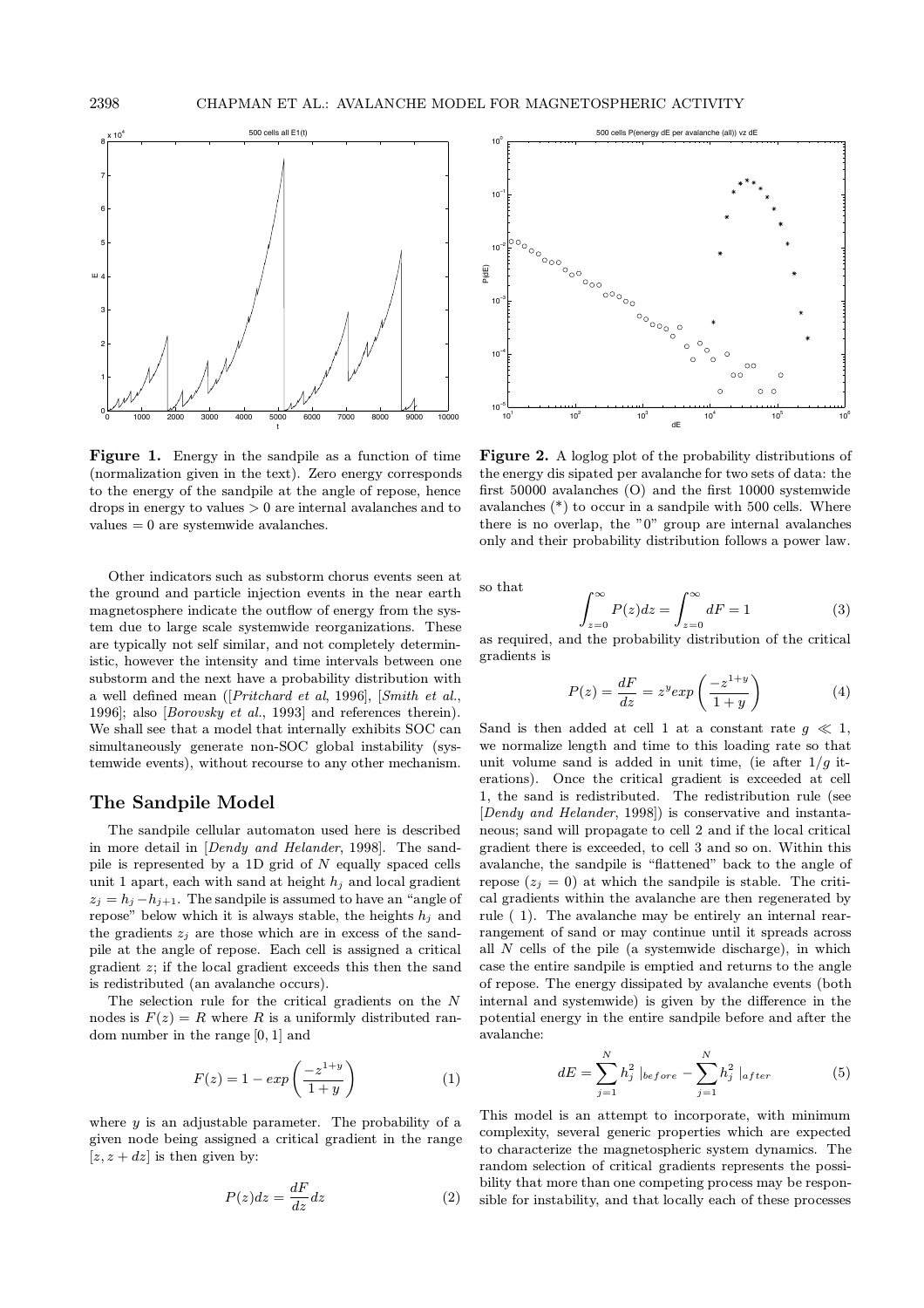

Figure 1. Energy in the sandpile as a function of time (normalization given in the text). Zero energy corresponds to the energy of the sandpile at the angle of repose, hence drops in energy to values > 0 are internal avalanches and to values = 0 are systemwide avalanches.

Other indicators such as substorm chorus events seen at the ground and particle injection events in the near earth magnetosphere indicate the outflow of energy from the system due to large scale systemwide reorganizations. These are typically not self similar, and not completely deterministic, however the intensity and time intervals between one substorm and the next have a probability distribution with a well defined mean ([Pritchard et al, 1996], [Smith et al., 1996]; also [Borovsky et al., 1993] and references therein). We shall see that a model that internally exhibits SOC can simultaneously generate non-SOC global instability (systemwide events), without recourse to any other mechanism.

# The Sandpile Model

The sandpile cellular automaton used here is described in more detail in [Dendy and Helander, 1998]. The sandpile is represented by a 1D grid of  $N$  equally spaced cells unit 1 apart, each with sand at height  $h_j$  and local gradient  $z_j = h_j - h_{j+1}$ . The sandpile is assumed to have an "angle of repose" below which it is always stable, the heights  $h_i$  and the gradients  $z_i$  are those which are in excess of the sandpile at the angle of repose. Each cell is assigned a critical gradient  $z$ ; if the local gradient exceeds this then the sand is redistributed (an avalanche occurs).

The selection rule for the critical gradients on the N nodes is  $F(z) = R$  where R is a uniformly distributed random number in the range [0, 1] and

$$
F(z) = 1 - exp\left(\frac{-z^{1+y}}{1+y}\right) \tag{1}
$$

where  $y$  is an adjustable parameter. The probability of a given node being assigned a critical gradient in the range  $[z, z + dz]$  is then given by:

$$
P(z)dz = \frac{dF}{dz}dz
$$
 (2)



Figure 2. A loglog plot of the probability distributions of the energy dis sipated per avalanche for two sets of data: the first 50000 avalanches (O) and the first 10000 systemwide avalanches (\*) to occur in a sandpile with 500 cells. Where there is no overlap, the "0" group are internal avalanches only and their probability distribution follows a power law.

so that

$$
\int_{z=0}^{\infty} P(z)dz = \int_{z=0}^{\infty} dF = 1
$$
 (3)

as required, and the probability distribution of the critical gradients is

$$
P(z) = \frac{dF}{dz} = z^y exp\left(\frac{-z^{1+y}}{1+y}\right)
$$
 (4)

Sand is then added at cell 1 at a constant rate  $q \ll 1$ , we normalize length and time to this loading rate so that unit volume sand is added in unit time, (ie after  $1/q$  iterations). Once the critical gradient is exceeded at cell 1, the sand is redistributed. The redistribution rule (see [Dendy and Helander, 1998]) is conservative and instantaneous; sand will propagate to cell 2 and if the local critical gradient there is exceeded, to cell 3 and so on. Within this avalanche, the sandpile is "flattened" back to the angle of repose  $(z_j = 0)$  at which the sandpile is stable. The critical gradients within the avalanche are then regenerated by rule ( 1). The avalanche may be entirely an internal rearrangement of sand or may continue until it spreads across all  $N$  cells of the pile (a systemwide discharge), in which case the entire sandpile is emptied and returns to the angle of repose. The energy dissipated by avalanche events (both internal and systemwide) is given by the difference in the potential energy in the entire sandpile before and after the avalanche:

$$
dE = \sum_{j=1}^{N} h_j^2 \mid_{before} - \sum_{j=1}^{N} h_j^2 \mid_{after} \tag{5}
$$

This model is an attempt to incorporate, with minimum complexity, several generic properties which are expected to characterize the magnetospheric system dynamics. The random selection of critical gradients represents the possibility that more than one competing process may be responsible for instability, and that locally each of these processes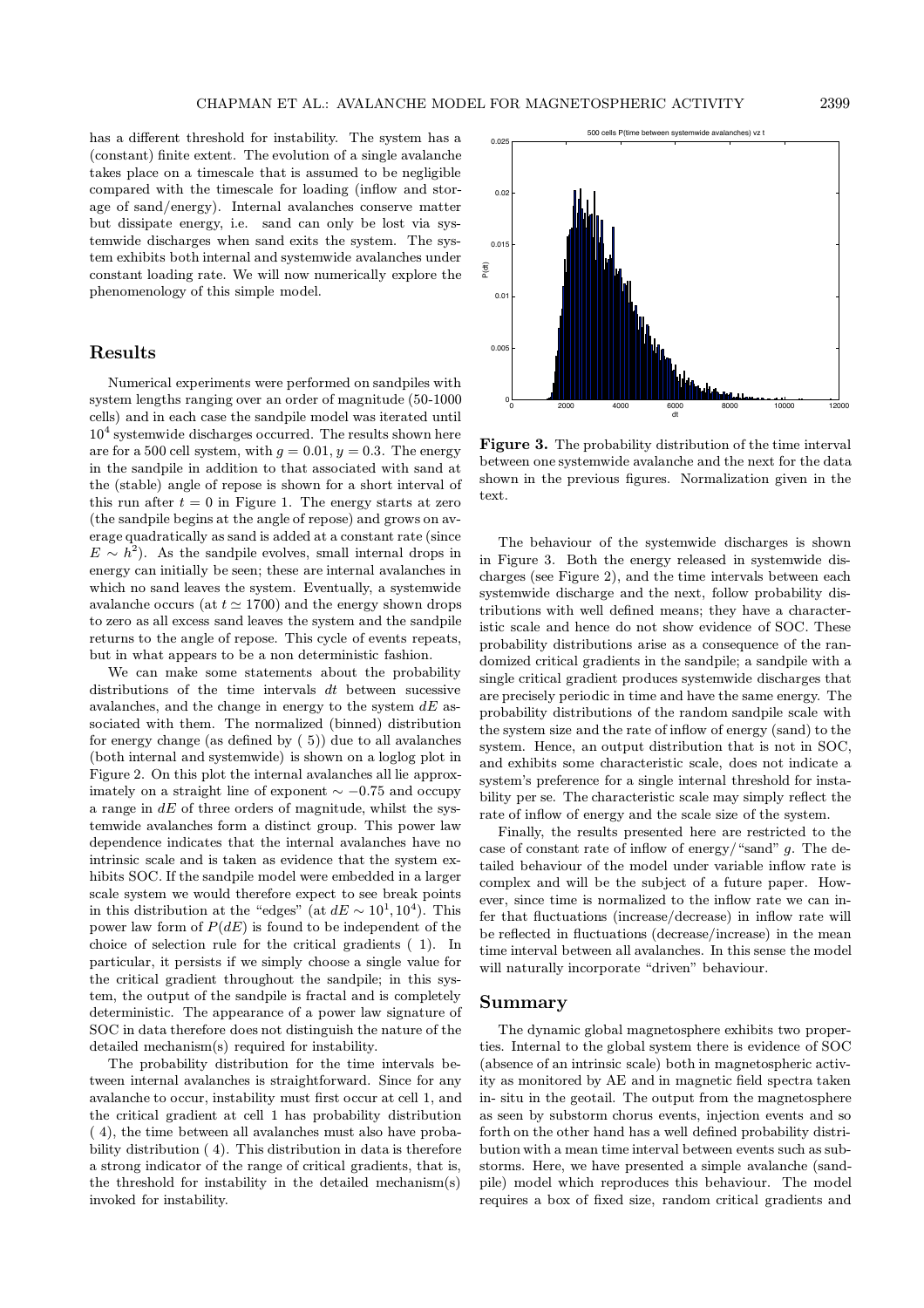has a different threshold for instability. The system has a (constant) finite extent. The evolution of a single avalanche takes place on a timescale that is assumed to be negligible compared with the timescale for loading (inflow and storage of sand/energy). Internal avalanches conserve matter but dissipate energy, i.e. sand can only be lost via systemwide discharges when sand exits the system. The system exhibits both internal and systemwide avalanches under constant loading rate. We will now numerically explore the phenomenology of this simple model.

## Results

Numerical experiments were performed on sandpiles with system lengths ranging over an order of magnitude (50-1000 cells) and in each case the sandpile model was iterated until  $10<sup>4</sup>$  systemwide discharges occurred. The results shown here are for a 500 cell system, with  $g = 0.01$ ,  $y = 0.3$ . The energy in the sandpile in addition to that associated with sand at the (stable) angle of repose is shown for a short interval of this run after  $t = 0$  in Figure 1. The energy starts at zero (the sandpile begins at the angle of repose) and grows on average quadratically as sand is added at a constant rate (since  $E \sim h^2$ ). As the sandpile evolves, small internal drops in energy can initially be seen; these are internal avalanches in which no sand leaves the system. Eventually, a systemwide avalanche occurs (at  $t \approx 1700$ ) and the energy shown drops to zero as all excess sand leaves the system and the sandpile returns to the angle of repose. This cycle of events repeats, but in what appears to be a non deterministic fashion.

We can make some statements about the probability distributions of the time intervals  $dt$  between sucessive avalanches, and the change in energy to the system  $dE$  associated with them. The normalized (binned) distribution for energy change (as defined by ( 5)) due to all avalanches (both internal and systemwide) is shown on a loglog plot in Figure 2. On this plot the internal avalanches all lie approximately on a straight line of exponent  $\sim -0.75$  and occupy a range in  $dE$  of three orders of magnitude, whilst the systemwide avalanches form a distinct group. This power law dependence indicates that the internal avalanches have no intrinsic scale and is taken as evidence that the system exhibits SOC. If the sandpile model were embedded in a larger scale system we would therefore expect to see break points in this distribution at the "edges" (at  $dE \sim 10^1, 10^4$ ). This power law form of  $P(dE)$  is found to be independent of the choice of selection rule for the critical gradients ( 1). In particular, it persists if we simply choose a single value for the critical gradient throughout the sandpile; in this system, the output of the sandpile is fractal and is completely deterministic. The appearance of a power law signature of SOC in data therefore does not distinguish the nature of the detailed mechanism(s) required for instability.

The probability distribution for the time intervals between internal avalanches is straightforward. Since for any avalanche to occur, instability must first occur at cell 1, and the critical gradient at cell 1 has probability distribution ( 4), the time between all avalanches must also have probability distribution ( 4). This distribution in data is therefore a strong indicator of the range of critical gradients, that is, the threshold for instability in the detailed mechanism(s) invoked for instability.

Figure 3. The probability distribution of the time interval between one systemwide avalanche and the next for the data shown in the previous figures. Normalization given in the text.

The behaviour of the systemwide discharges is shown in Figure 3. Both the energy released in systemwide discharges (see Figure 2), and the time intervals between each systemwide discharge and the next, follow probability distributions with well defined means; they have a characteristic scale and hence do not show evidence of SOC. These probability distributions arise as a consequence of the randomized critical gradients in the sandpile; a sandpile with a single critical gradient produces systemwide discharges that are precisely periodic in time and have the same energy. The probability distributions of the random sandpile scale with the system size and the rate of inflow of energy (sand) to the system. Hence, an output distribution that is not in SOC, and exhibits some characteristic scale, does not indicate a system's preference for a single internal threshold for instability per se. The characteristic scale may simply reflect the rate of inflow of energy and the scale size of the system.

Finally, the results presented here are restricted to the case of constant rate of inflow of energy/"sand" g. The detailed behaviour of the model under variable inflow rate is complex and will be the subject of a future paper. However, since time is normalized to the inflow rate we can infer that fluctuations (increase/decrease) in inflow rate will be reflected in fluctuations (decrease/increase) in the mean time interval between all avalanches. In this sense the model will naturally incorporate "driven" behaviour.

### Summary

The dynamic global magnetosphere exhibits two properties. Internal to the global system there is evidence of SOC (absence of an intrinsic scale) both in magnetospheric activity as monitored by AE and in magnetic field spectra taken in- situ in the geotail. The output from the magnetosphere as seen by substorm chorus events, injection events and so forth on the other hand has a well defined probability distribution with a mean time interval between events such as substorms. Here, we have presented a simple avalanche (sandpile) model which reproduces this behaviour. The model requires a box of fixed size, random critical gradients and